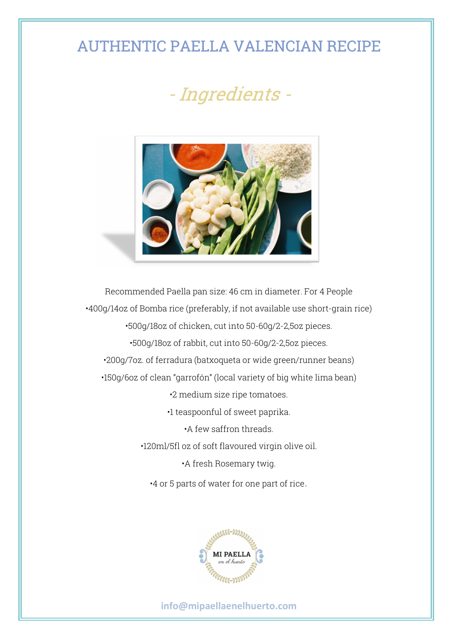## AUTHENTIC PAELLA VALENCIAN RECIPE

## - Ingredients -



Recommended Paella pan size: 46 cm in diameter. For 4 People •400g/14oz of Bomba rice (preferably, if not available use short-grain rice) •500g/18oz of chicken, cut into 50-60g/2-2,5oz pieces. •500g/18oz of rabbit, cut into 50-60g/2-2,5oz pieces. •200g/7oz. of ferradura (batxoqueta or wide green/runner beans) •150g/6oz of clean "garrofón" (local variety of big white lima bean) •2 medium size ripe tomatoes. •1 teaspoonful of sweet paprika. •A few saffron threads. •120ml/5fl oz of soft flavoured virgin olive oil. •A fresh Rosemary twig. •4 or 5 parts of water for one part of rice.



## **info@mipaellaenelhuerto.com**